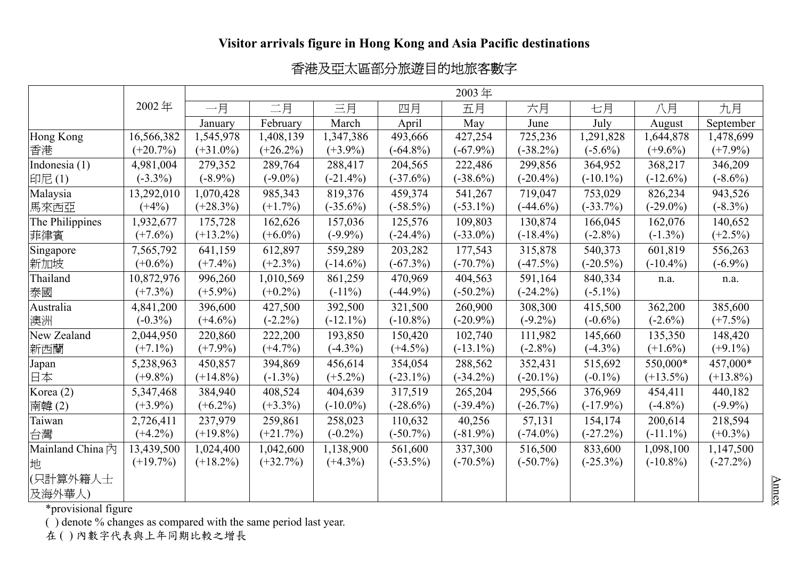## **Visitor arrivals figure in Hong Kong and Asia Pacific destinations**

## 香港及亞太區部分旅遊目的地旅客數字

|                  |             | 2003年       |             |             |             |             |             |             |             |             |
|------------------|-------------|-------------|-------------|-------------|-------------|-------------|-------------|-------------|-------------|-------------|
|                  | 2002年       | 一月          | 二月          | 三月          | 四月          | 五月          | 六月          | 七月          | 八月          | 九月          |
|                  |             | January     | February    | March       | April       | May         | June        | July        | August      | September   |
| Hong Kong        | 16,566,382  | 1,545,978   | 1,408,139   | 1,347,386   | 493,666     | 427,254     | 725,236     | 1,291,828   | 1,644,878   | 1,478,699   |
| 香港               | $(+20.7%)$  | $(+31.0\%)$ | $(+26.2\%)$ | $(+3.9\%)$  | $(-64.8\%)$ | $(-67.9\%)$ | $(-38.2\%)$ | $(-5.6\%)$  | $(+9.6\%)$  | $(+7.9\%)$  |
| Indonesia (1)    | 4,981,004   | 279,352     | 289,764     | 288,417     | 204,565     | 222,486     | 299,856     | 364,952     | 368,217     | 346,209     |
| 印尼(1)            | $(-3.3\%)$  | $(-8.9\%)$  | $(-9.0\%)$  | $(-21.4\%)$ | $(-37.6%)$  | $(-38.6\%)$ | $(-20.4\%)$ | $(-10.1\%)$ | $(-12.6%)$  | $(-8.6\%)$  |
| Malaysia         | 13,292,010  | 1,070,428   | 985,343     | 819,376     | 459,374     | 541,267     | 719,047     | 753,029     | 826,234     | 943,526     |
| 馬來西亞             | $(+4%)$     | $(+28.3\%)$ | $(+1.7\%)$  | $(-35.6\%)$ | $(-58.5\%)$ | $(-53.1\%)$ | $(-44.6%)$  | $(-33.7\%)$ | $(-29.0\%)$ | $(-8.3\%)$  |
| The Philippines  | 1,932,677   | 175,728     | 162,626     | 157,036     | 125,576     | 109,803     | 130,874     | 166,045     | 162,076     | 140,652     |
| 菲律賓              | $(+7.6%)$   | $(+13.2\%)$ | $(+6.0\%)$  | $(-9.9\%)$  | $(-24.4\%)$ | $(-33.0\%)$ | $(-18.4\%)$ | $(-2.8\%)$  | $(-1.3\%)$  | $(+2.5%)$   |
| Singapore        | 7,565,792   | 641,159     | 612,897     | 559,289     | 203,282     | 177,543     | 315,878     | 540,373     | 601,819     | 556,263     |
| 新加坡              | $(+0.6\%)$  | $(+7.4\%)$  | $(+2.3\%)$  | $(-14.6\%)$ | $(-67.3%)$  | $(-70.7\%)$ | $(-47.5%)$  | $(-20.5\%)$ | $(-10.4\%)$ | $(-6.9\%)$  |
| Thailand         | 10,872,976  | 996,260     | 1,010,569   | 861,259     | 470,969     | 404,563     | 591,164     | 840,334     | n.a.        | n.a.        |
| 泰國               | $(+7.3\%)$  | $(+5.9\%)$  | $(+0.2\%)$  | $(-11\%)$   | $(-44.9\%)$ | $(-50.2\%)$ | $(-24.2\%)$ | $(-5.1\%)$  |             |             |
| Australia        | 4,841,200   | 396,600     | 427,500     | 392,500     | 321,500     | 260,900     | 308,300     | 415,500     | 362,200     | 385,600     |
| 澳洲               | $(-0.3\%)$  | $(+4.6\%)$  | $(-2.2\%)$  | $(-12.1\%)$ | $(-10.8\%)$ | $(-20.9\%)$ | $(-9.2\%)$  | $(-0.6\%)$  | $(-2.6\%)$  | $(+7.5%)$   |
| New Zealand      | 2,044,950   | 220,860     | 222,200     | 193,850     | 150,420     | 102,740     | 111,982     | 145,660     | 135,350     | 148,420     |
| 新西蘭              | $(+7.1\%)$  | $(+7.9\%)$  | $(+4.7%)$   | $(-4.3\%)$  | $(+4.5\%)$  | $(-13.1\%)$ | $(-2.8\%)$  | $(-4.3\%)$  | $(+1.6\%)$  | $(+9.1\%)$  |
| Japan            | 5,238,963   | 450,857     | 394,869     | 456,614     | 354,054     | 288,562     | 352,431     | 515,692     | 550,000*    | 457,000*    |
| 日本               | $(+9.8\%)$  | $(+14.8\%)$ | $(-1.3\%)$  | $(+5.2\%)$  | $(-23.1\%)$ | $(-34.2\%)$ | $(-20.1\%)$ | $(-0.1\%)$  | $(+13.5\%)$ | $(+13.8\%)$ |
| Korea (2)        | 5,347,468   | 384,940     | 408,524     | 404,639     | 317,519     | 265,204     | 295,566     | 376,969     | 454,411     | 440,182     |
| 南韓(2)            | $(+3.9\%)$  | $(+6.2\%)$  | $(+3.3\%)$  | $(-10.0\%)$ | $(-28.6\%)$ | $(-39.4\%)$ | $(-26.7%)$  | $(-17.9\%)$ | $(-4.8\%)$  | $(-9.9\%)$  |
| Taiwan           | 2,726,411   | 237,979     | 259,861     | 258,023     | 110,632     | 40,256      | 57,131      | 154,174     | 200,614     | 218,594     |
| 台灣               | $(+4.2\%)$  | $(+19.8\%)$ | $(+21.7%)$  | $(-0.2\%)$  | $(-50.7\%)$ | $(-81.9\%)$ | $(-74.0\%)$ | $(-27.2%)$  | $(-11.1\%)$ | $(+0.3\%)$  |
| Mainland China 內 | 13,439,500  | 1,024,400   | 1,042,600   | 1,138,900   | 561,600     | 337,300     | 516,500     | 833,600     | 1,098,100   | 1,147,500   |
| 地                | $(+19.7\%)$ | $(+18.2\%)$ | $(+32.7%)$  | $(+4.3\%)$  | $(-53.5\%)$ | $(-70.5\%)$ | $(-50.7\%)$ | $(-25.3\%)$ | $(-10.8\%)$ | $(-27.2\%)$ |
| (只計算外籍人士         |             |             |             |             |             |             |             |             |             |             |
| 及海外華人)           |             |             |             |             |             |             |             |             |             |             |

\*provisional figure

( ) denote % changes as compared with the same period last year.

在()內數字代表與上年同期比較之增長